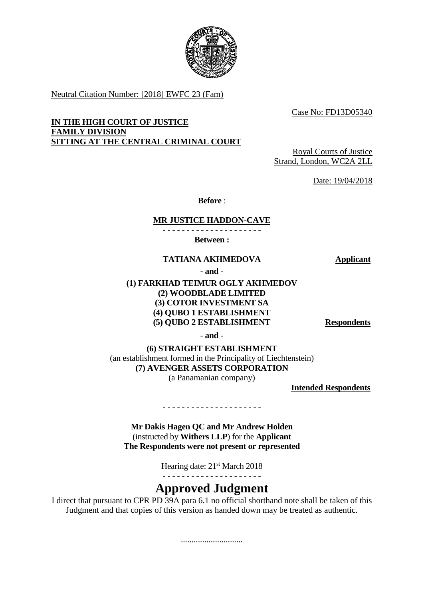

Neutral Citation Number: [2018] EWFC 23 (Fam)

Case No: FD13D05340

**IN THE HIGH COURT OF JUSTICE FAMILY DIVISION SITTING AT THE CENTRAL CRIMINAL COURT**

> Royal Courts of Justice Strand, London, WC2A 2LL

> > Date: 19/04/2018

**Before** :

#### **MR JUSTICE HADDON-CAVE**

- - - - - - - - - - - - - - - - - - - - -

**Between :**

## **TATIANA AKHMEDOVA Applicant**

**- and -**

## **(1) FARKHAD TEIMUR OGLY AKHMEDOV (2) WOODBLADE LIMITED (3) COTOR INVESTMENT SA (4) QUBO 1 ESTABLISHMENT (5) QUBO 2 ESTABLISHMENT Respondents**

**- and -**

**(6) STRAIGHT ESTABLISHMENT** (an establishment formed in the Principality of Liechtenstein) **(7) AVENGER ASSETS CORPORATION** (a Panamanian company)

**Intended Respondents**

- - - - - - - - - - - - - - - - - - - - -

**Mr Dakis Hagen QC and Mr Andrew Holden** (instructed by **Withers LLP**) for the **Applicant The Respondents were not present or represented**

> Hearing date:  $21<sup>st</sup>$  March 2018 - - - - - - - - - - - - - - - - - - - - -

# **Approved Judgment**

I direct that pursuant to CPR PD 39A para 6.1 no official shorthand note shall be taken of this Judgment and that copies of this version as handed down may be treated as authentic.

.............................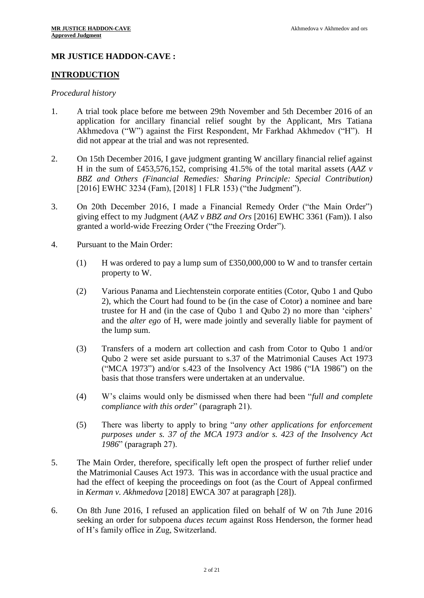## **MR JUSTICE HADDON-CAVE :**

## **INTRODUCTION**

#### *Procedural history*

- 1. A trial took place before me between 29th November and 5th December 2016 of an application for ancillary financial relief sought by the Applicant, Mrs Tatiana Akhmedova ("W") against the First Respondent, Mr Farkhad Akhmedov ("H"). H did not appear at the trial and was not represented.
- 2. On 15th December 2016, I gave judgment granting W ancillary financial relief against H in the sum of £453,576,152, comprising 41.5% of the total marital assets (*AAZ v BBZ and Others (Financial Remedies: Sharing Principle: Special Contribution)* [2016] EWHC 3234 (Fam), [2018] 1 FLR 153) ("the Judgment").
- 3. On 20th December 2016, I made a Financial Remedy Order ("the Main Order") giving effect to my Judgment (*AAZ v BBZ and Ors* [2016] EWHC 3361 (Fam)). I also granted a world-wide Freezing Order ("the Freezing Order").
- 4. Pursuant to the Main Order:
	- (1) H was ordered to pay a lump sum of £350,000,000 to W and to transfer certain property to W.
	- (2) Various Panama and Liechtenstein corporate entities (Cotor, Qubo 1 and Qubo 2), which the Court had found to be (in the case of Cotor) a nominee and bare trustee for H and (in the case of Qubo 1 and Qubo 2) no more than 'ciphers' and the *alter ego* of H, were made jointly and severally liable for payment of the lump sum.
	- (3) Transfers of a modern art collection and cash from Cotor to Qubo 1 and/or Qubo 2 were set aside pursuant to s.37 of the Matrimonial Causes Act 1973 ("MCA 1973") and/or s.423 of the Insolvency Act 1986 ("IA 1986") on the basis that those transfers were undertaken at an undervalue.
	- (4) W's claims would only be dismissed when there had been "*full and complete compliance with this order*" (paragraph 21).
	- (5) There was liberty to apply to bring "*any other applications for enforcement purposes under s. 37 of the MCA 1973 and/or s. 423 of the Insolvency Act 1986*" (paragraph 27).
- 5. The Main Order, therefore, specifically left open the prospect of further relief under the Matrimonial Causes Act 1973. This was in accordance with the usual practice and had the effect of keeping the proceedings on foot (as the Court of Appeal confirmed in *Kerman v. Akhmedova* [2018] EWCA 307 at paragraph [28]).
- 6. On 8th June 2016, I refused an application filed on behalf of W on 7th June 2016 seeking an order for subpoena *duces tecum* against Ross Henderson, the former head of H's family office in Zug, Switzerland.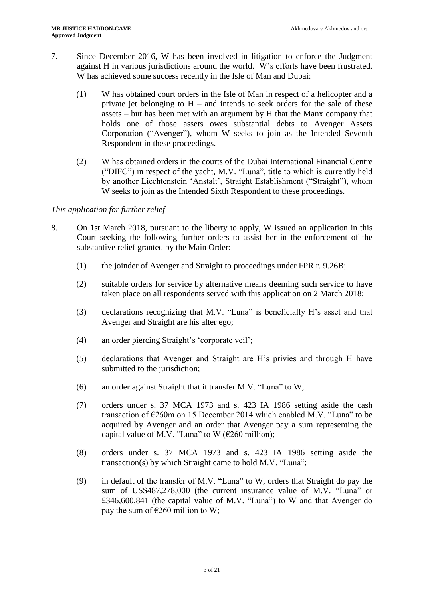- 7. Since December 2016, W has been involved in litigation to enforce the Judgment against H in various jurisdictions around the world. W's efforts have been frustrated. W has achieved some success recently in the Isle of Man and Dubai:
	- (1) W has obtained court orders in the Isle of Man in respect of a helicopter and a private jet belonging to  $H -$  and intends to seek orders for the sale of these assets – but has been met with an argument by H that the Manx company that holds one of those assets owes substantial debts to Avenger Assets Corporation ("Avenger"), whom W seeks to join as the Intended Seventh Respondent in these proceedings.
	- (2) W has obtained orders in the courts of the Dubai International Financial Centre ("DIFC") in respect of the yacht, M.V. "Luna", title to which is currently held by another Liechtenstein 'Anstalt', Straight Establishment ("Straight"), whom W seeks to join as the Intended Sixth Respondent to these proceedings.

## *This application for further relief*

- 8. On 1st March 2018, pursuant to the liberty to apply, W issued an application in this Court seeking the following further orders to assist her in the enforcement of the substantive relief granted by the Main Order:
	- (1) the joinder of Avenger and Straight to proceedings under FPR r. 9.26B;
	- (2) suitable orders for service by alternative means deeming such service to have taken place on all respondents served with this application on 2 March 2018;
	- (3) declarations recognizing that M.V. "Luna" is beneficially H's asset and that Avenger and Straight are his alter ego;
	- (4) an order piercing Straight's 'corporate veil';
	- (5) declarations that Avenger and Straight are H's privies and through H have submitted to the jurisdiction;
	- (6) an order against Straight that it transfer M.V. "Luna" to W;
	- (7) orders under s. 37 MCA 1973 and s. 423 IA 1986 setting aside the cash transaction of €260m on 15 December 2014 which enabled M.V. "Luna" to be acquired by Avenger and an order that Avenger pay a sum representing the capital value of M.V. "Luna" to W ( $\epsilon$ 260 million);
	- (8) orders under s. 37 MCA 1973 and s. 423 IA 1986 setting aside the transaction(s) by which Straight came to hold M.V. "Luna";
	- (9) in default of the transfer of M.V. "Luna" to W, orders that Straight do pay the sum of US\$487,278,000 (the current insurance value of M.V. "Luna" or £346,600,841 (the capital value of M.V. "Luna") to W and that Avenger do pay the sum of  $\epsilon$ 260 million to W;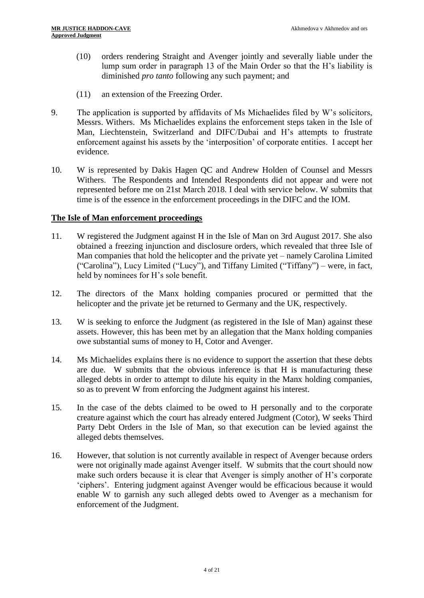- (10) orders rendering Straight and Avenger jointly and severally liable under the lump sum order in paragraph 13 of the Main Order so that the H's liability is diminished *pro tanto* following any such payment; and
- (11) an extension of the Freezing Order.
- 9. The application is supported by affidavits of Ms Michaelides filed by W's solicitors, Messrs. Withers. Ms Michaelides explains the enforcement steps taken in the Isle of Man, Liechtenstein, Switzerland and DIFC/Dubai and H's attempts to frustrate enforcement against his assets by the 'interposition' of corporate entities. I accept her evidence.
- 10. W is represented by Dakis Hagen QC and Andrew Holden of Counsel and Messrs Withers. The Respondents and Intended Respondents did not appear and were not represented before me on 21st March 2018. I deal with service below. W submits that time is of the essence in the enforcement proceedings in the DIFC and the IOM.

## **The Isle of Man enforcement proceedings**

- 11. W registered the Judgment against H in the Isle of Man on 3rd August 2017. She also obtained a freezing injunction and disclosure orders, which revealed that three Isle of Man companies that hold the helicopter and the private yet – namely Carolina Limited ("Carolina"), Lucy Limited ("Lucy"), and Tiffany Limited ("Tiffany") – were, in fact, held by nominees for H's sole benefit.
- 12. The directors of the Manx holding companies procured or permitted that the helicopter and the private jet be returned to Germany and the UK, respectively.
- 13. W is seeking to enforce the Judgment (as registered in the Isle of Man) against these assets. However, this has been met by an allegation that the Manx holding companies owe substantial sums of money to H, Cotor and Avenger.
- 14. Ms Michaelides explains there is no evidence to support the assertion that these debts are due. W submits that the obvious inference is that H is manufacturing these alleged debts in order to attempt to dilute his equity in the Manx holding companies, so as to prevent W from enforcing the Judgment against his interest.
- 15. In the case of the debts claimed to be owed to H personally and to the corporate creature against which the court has already entered Judgment (Cotor), W seeks Third Party Debt Orders in the Isle of Man, so that execution can be levied against the alleged debts themselves.
- 16. However, that solution is not currently available in respect of Avenger because orders were not originally made against Avenger itself. W submits that the court should now make such orders because it is clear that Avenger is simply another of H's corporate 'ciphers'. Entering judgment against Avenger would be efficacious because it would enable W to garnish any such alleged debts owed to Avenger as a mechanism for enforcement of the Judgment.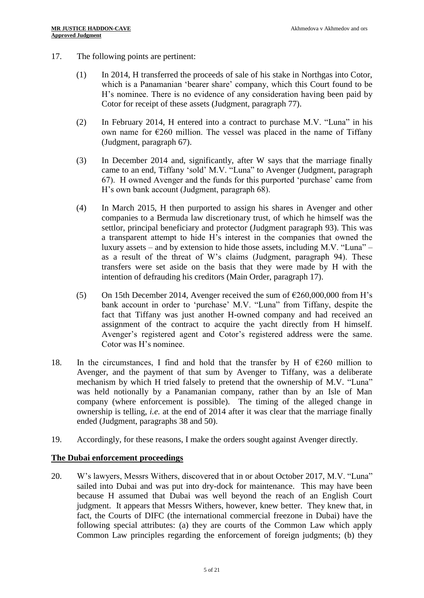- 17. The following points are pertinent:
	- (1) In 2014, H transferred the proceeds of sale of his stake in Northgas into Cotor, which is a Panamanian 'bearer share' company, which this Court found to be H's nominee. There is no evidence of any consideration having been paid by Cotor for receipt of these assets (Judgment, paragraph 77).
	- (2) In February 2014, H entered into a contract to purchase M.V. "Luna" in his own name for  $\epsilon$ 260 million. The vessel was placed in the name of Tiffany (Judgment, paragraph 67).
	- (3) In December 2014 and, significantly, after W says that the marriage finally came to an end, Tiffany 'sold' M.V. "Luna" to Avenger (Judgment, paragraph 67). H owned Avenger and the funds for this purported 'purchase' came from H's own bank account (Judgment, paragraph 68).
	- (4) In March 2015, H then purported to assign his shares in Avenger and other companies to a Bermuda law discretionary trust, of which he himself was the settlor, principal beneficiary and protector (Judgment paragraph 93). This was a transparent attempt to hide H's interest in the companies that owned the luxury assets – and by extension to hide those assets, including M.V. "Luna" – as a result of the threat of W's claims (Judgment, paragraph 94). These transfers were set aside on the basis that they were made by H with the intention of defrauding his creditors (Main Order, paragraph 17).
	- (5) On 15th December 2014, Avenger received the sum of  $\epsilon$ 260,000,000 from H's bank account in order to 'purchase' M.V. "Luna" from Tiffany, despite the fact that Tiffany was just another H-owned company and had received an assignment of the contract to acquire the yacht directly from H himself. Avenger's registered agent and Cotor's registered address were the same. Cotor was H's nominee.
- 18. In the circumstances, I find and hold that the transfer by H of  $\epsilon$ 260 million to Avenger, and the payment of that sum by Avenger to Tiffany, was a deliberate mechanism by which H tried falsely to pretend that the ownership of M.V. "Luna" was held notionally by a Panamanian company, rather than by an Isle of Man company (where enforcement is possible). The timing of the alleged change in ownership is telling, *i.e.* at the end of 2014 after it was clear that the marriage finally ended (Judgment, paragraphs 38 and 50).
- 19. Accordingly, for these reasons, I make the orders sought against Avenger directly.

## **The Dubai enforcement proceedings**

20. W's lawyers, Messrs Withers, discovered that in or about October 2017, M.V. "Luna" sailed into Dubai and was put into dry-dock for maintenance. This may have been because H assumed that Dubai was well beyond the reach of an English Court judgment. It appears that Messrs Withers, however, knew better. They knew that, in fact, the Courts of DIFC (the international commercial freezone in Dubai) have the following special attributes: (a) they are courts of the Common Law which apply Common Law principles regarding the enforcement of foreign judgments; (b) they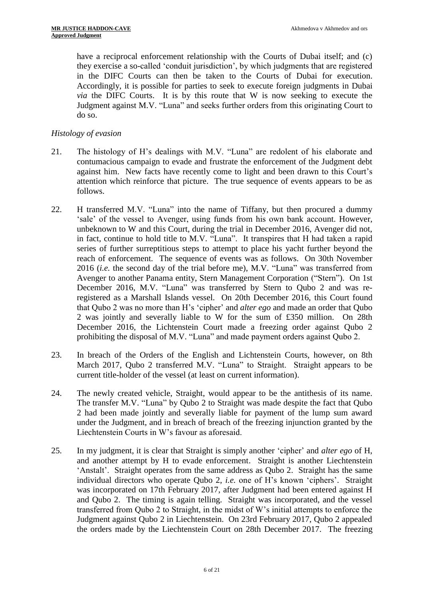have a reciprocal enforcement relationship with the Courts of Dubai itself; and (c) they exercise a so-called 'conduit jurisdiction', by which judgments that are registered in the DIFC Courts can then be taken to the Courts of Dubai for execution. Accordingly, it is possible for parties to seek to execute foreign judgments in Dubai *via* the DIFC Courts. It is by this route that W is now seeking to execute the Judgment against M.V. "Luna" and seeks further orders from this originating Court to do so.

## *Histology of evasion*

- 21. The histology of H's dealings with M.V. "Luna" are redolent of his elaborate and contumacious campaign to evade and frustrate the enforcement of the Judgment debt against him. New facts have recently come to light and been drawn to this Court's attention which reinforce that picture. The true sequence of events appears to be as follows.
- 22. H transferred M.V. "Luna" into the name of Tiffany, but then procured a dummy 'sale' of the vessel to Avenger, using funds from his own bank account. However, unbeknown to W and this Court, during the trial in December 2016, Avenger did not, in fact, continue to hold title to M.V. "Luna". It transpires that H had taken a rapid series of further surreptitious steps to attempt to place his yacht further beyond the reach of enforcement. The sequence of events was as follows. On 30th November 2016 (*i.e.* the second day of the trial before me), M.V. "Luna" was transferred from Avenger to another Panama entity, Stern Management Corporation ("Stern"). On 1st December 2016, M.V. "Luna" was transferred by Stern to Qubo 2 and was reregistered as a Marshall Islands vessel. On 20th December 2016, this Court found that Qubo 2 was no more than H's 'cipher' and *alter ego* and made an order that Qubo 2 was jointly and severally liable to W for the sum of £350 million. On 28th December 2016, the Lichtenstein Court made a freezing order against Qubo 2 prohibiting the disposal of M.V. "Luna" and made payment orders against Qubo 2.
- 23. In breach of the Orders of the English and Lichtenstein Courts, however, on 8th March 2017, Qubo 2 transferred M.V. "Luna" to Straight. Straight appears to be current title-holder of the vessel (at least on current information).
- 24. The newly created vehicle, Straight, would appear to be the antithesis of its name. The transfer M.V. "Luna" by Qubo 2 to Straight was made despite the fact that Qubo 2 had been made jointly and severally liable for payment of the lump sum award under the Judgment, and in breach of breach of the freezing injunction granted by the Liechtenstein Courts in W's favour as aforesaid.
- 25. In my judgment, it is clear that Straight is simply another 'cipher' and *alter ego* of H, and another attempt by H to evade enforcement. Straight is another Liechtenstein 'Anstalt'. Straight operates from the same address as Qubo 2. Straight has the same individual directors who operate Qubo 2, *i.e.* one of H's known 'ciphers'. Straight was incorporated on 17th February 2017, after Judgment had been entered against H and Qubo 2. The timing is again telling. Straight was incorporated, and the vessel transferred from Qubo 2 to Straight, in the midst of W's initial attempts to enforce the Judgment against Qubo 2 in Liechtenstein. On 23rd February 2017, Qubo 2 appealed the orders made by the Liechtenstein Court on 28th December 2017. The freezing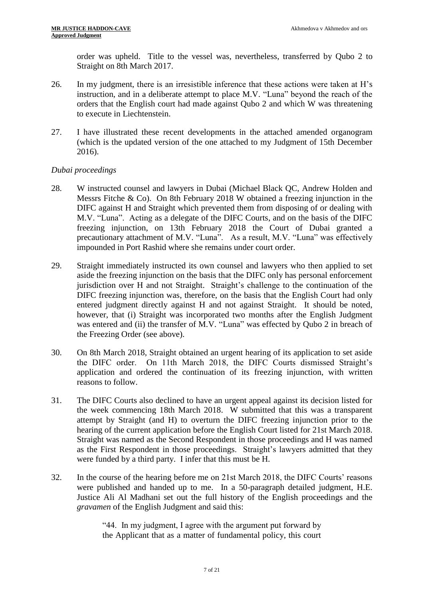order was upheld. Title to the vessel was, nevertheless, transferred by Qubo 2 to Straight on 8th March 2017.

- 26. In my judgment, there is an irresistible inference that these actions were taken at H's instruction, and in a deliberate attempt to place M.V. "Luna" beyond the reach of the orders that the English court had made against Qubo 2 and which W was threatening to execute in Liechtenstein.
- 27. I have illustrated these recent developments in the attached amended organogram (which is the updated version of the one attached to my Judgment of 15th December 2016).

## *Dubai proceedings*

- 28. W instructed counsel and lawyers in Dubai (Michael Black QC, Andrew Holden and Messrs Fitche & Co). On 8th February 2018 W obtained a freezing injunction in the DIFC against H and Straight which prevented them from disposing of or dealing with M.V. "Luna". Acting as a delegate of the DIFC Courts, and on the basis of the DIFC freezing injunction, on 13th February 2018 the Court of Dubai granted a precautionary attachment of M.V. "Luna". As a result, M.V. "Luna" was effectively impounded in Port Rashid where she remains under court order.
- 29. Straight immediately instructed its own counsel and lawyers who then applied to set aside the freezing injunction on the basis that the DIFC only has personal enforcement jurisdiction over H and not Straight. Straight's challenge to the continuation of the DIFC freezing injunction was, therefore, on the basis that the English Court had only entered judgment directly against H and not against Straight. It should be noted, however, that (i) Straight was incorporated two months after the English Judgment was entered and (ii) the transfer of M.V. "Luna" was effected by Qubo 2 in breach of the Freezing Order (see above).
- 30. On 8th March 2018, Straight obtained an urgent hearing of its application to set aside the DIFC order. On 11th March 2018, the DIFC Courts dismissed Straight's application and ordered the continuation of its freezing injunction, with written reasons to follow.
- 31. The DIFC Courts also declined to have an urgent appeal against its decision listed for the week commencing 18th March 2018. W submitted that this was a transparent attempt by Straight (and H) to overturn the DIFC freezing injunction prior to the hearing of the current application before the English Court listed for 21st March 2018. Straight was named as the Second Respondent in those proceedings and H was named as the First Respondent in those proceedings. Straight's lawyers admitted that they were funded by a third party. I infer that this must be H.
- 32. In the course of the hearing before me on 21st March 2018, the DIFC Courts' reasons were published and handed up to me. In a 50-paragraph detailed judgment, H.E. Justice Ali Al Madhani set out the full history of the English proceedings and the *gravamen* of the English Judgment and said this:

"44. In my judgment, I agree with the argument put forward by the Applicant that as a matter of fundamental policy, this court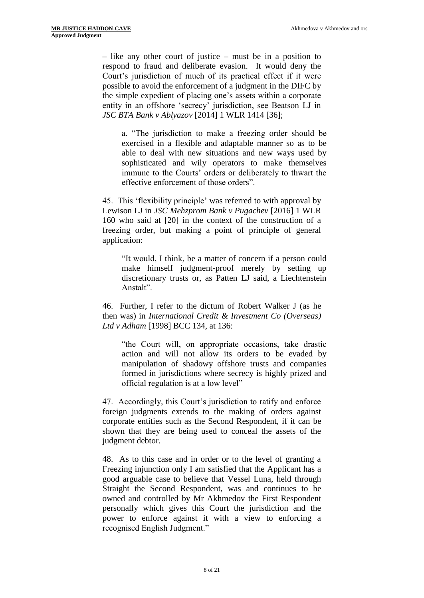– like any other court of justice – must be in a position to respond to fraud and deliberate evasion. It would deny the Court's jurisdiction of much of its practical effect if it were possible to avoid the enforcement of a judgment in the DIFC by the simple expedient of placing one's assets within a corporate entity in an offshore 'secrecy' jurisdiction, see Beatson LJ in *JSC BTA Bank v Ablyazov* [2014] 1 WLR 1414 [36];

a. "The jurisdiction to make a freezing order should be exercised in a flexible and adaptable manner so as to be able to deal with new situations and new ways used by sophisticated and wily operators to make themselves immune to the Courts' orders or deliberately to thwart the effective enforcement of those orders".

45. This 'flexibility principle' was referred to with approval by Lewison LJ in *JSC Mehzprom Bank v Pugachev* [2016] 1 WLR 160 who said at [20] in the context of the construction of a freezing order, but making a point of principle of general application:

"It would, I think, be a matter of concern if a person could make himself judgment-proof merely by setting up discretionary trusts or, as Patten LJ said, a Liechtenstein Anstalt".

46. Further, I refer to the dictum of Robert Walker J (as he then was) in *International Credit & Investment Co (Overseas) Ltd v Adham* [1998] BCC 134, at 136:

"the Court will, on appropriate occasions, take drastic action and will not allow its orders to be evaded by manipulation of shadowy offshore trusts and companies formed in jurisdictions where secrecy is highly prized and official regulation is at a low level"

47. Accordingly, this Court's jurisdiction to ratify and enforce foreign judgments extends to the making of orders against corporate entities such as the Second Respondent, if it can be shown that they are being used to conceal the assets of the judgment debtor.

48. As to this case and in order or to the level of granting a Freezing injunction only I am satisfied that the Applicant has a good arguable case to believe that Vessel Luna, held through Straight the Second Respondent, was and continues to be owned and controlled by Mr Akhmedov the First Respondent personally which gives this Court the jurisdiction and the power to enforce against it with a view to enforcing a recognised English Judgment."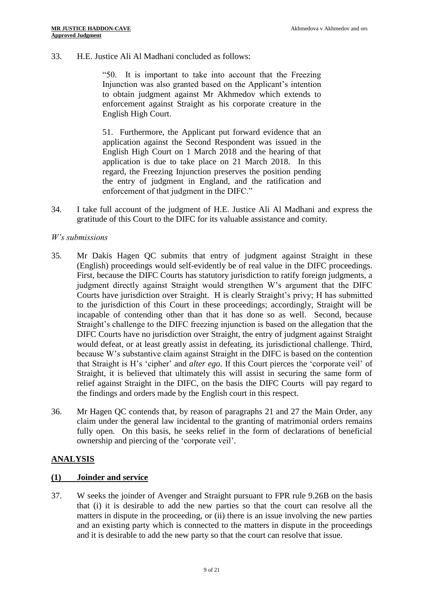33. H.E. Justice Ali Al Madhani concluded as follows:

"50. It is important to take into account that the Freezing Injunction was also granted based on the Applicant's intention to obtain judgment against Mr Akhmedov which extends to enforcement against Straight as his corporate creature in the English High Court.

51. Furthermore, the Applicant put forward evidence that an application against the Second Respondent was issued in the English High Court on 1 March 2018 and the hearing of that application is due to take place on 21 March 2018. In this regard, the Freezing Injunction preserves the position pending the entry of judgment in England, and the ratification and enforcement of that judgment in the DIFC."

34. I take full account of the judgment of H.E. Justice Ali Al Madhani and express the gratitude of this Court to the DIFC for its valuable assistance and comity.

## *W's submissions*

- 35. Mr Dakis Hagen QC submits that entry of judgment against Straight in these (English) proceedings would self-evidently be of real value in the DIFC proceedings. First, because the DIFC Courts has statutory jurisdiction to ratify foreign judgments, a judgment directly against Straight would strengthen W's argument that the DIFC Courts have jurisdiction over Straight. H is clearly Straight's privy; H has submitted to the jurisdiction of this Court in these proceedings; accordingly, Straight will be incapable of contending other than that it has done so as well. Second, because Straight's challenge to the DIFC freezing injunction is based on the allegation that the DIFC Courts have no jurisdiction over Straight, the entry of judgment against Straight would defeat, or at least greatly assist in defeating, its jurisdictional challenge. Third, because W's substantive claim against Straight in the DIFC is based on the contention that Straight is H's 'cipher' and *alter ego*. If this Court pierces the 'corporate veil' of Straight, it is believed that ultimately this will assist in securing the same form of relief against Straight in the DIFC, on the basis the DIFC Courts will pay regard to the findings and orders made by the English court in this respect.
- 36. Mr Hagen QC contends that, by reason of paragraphs 21 and 27 the Main Order, any claim under the general law incidental to the granting of matrimonial orders remains fully open. On this basis, he seeks relief in the form of declarations of beneficial ownership and piercing of the 'corporate veil'.

## **ANALYSIS**

## **(1) Joinder and service**

37. W seeks the joinder of Avenger and Straight pursuant to FPR rule 9.26B on the basis that (i) it is desirable to add the new parties so that the court can resolve all the matters in dispute in the proceeding, or (ii) there is an issue involving the new parties and an existing party which is connected to the matters in dispute in the proceedings and it is desirable to add the new party so that the court can resolve that issue.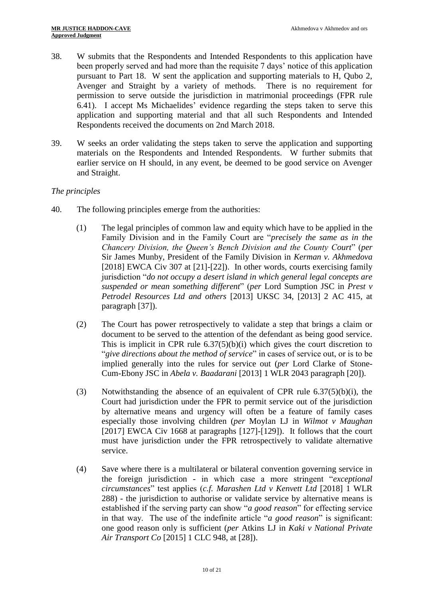- 38. W submits that the Respondents and Intended Respondents to this application have been properly served and had more than the requisite 7 days' notice of this application pursuant to Part 18. W sent the application and supporting materials to H, Qubo 2, Avenger and Straight by a variety of methods. There is no requirement for permission to serve outside the jurisdiction in matrimonial proceedings (FPR rule 6.41). I accept Ms Michaelides' evidence regarding the steps taken to serve this application and supporting material and that all such Respondents and Intended Respondents received the documents on 2nd March 2018.
- 39. W seeks an order validating the steps taken to serve the application and supporting materials on the Respondents and Intended Respondents. W further submits that earlier service on H should, in any event, be deemed to be good service on Avenger and Straight.

## *The principles*

- 40. The following principles emerge from the authorities:
	- (1) The legal principles of common law and equity which have to be applied in the Family Division and in the Family Court are "*precisely the same as in the Chancery Division, the Queen's Bench Division and the County Court*" (*per* Sir James Munby, President of the Family Division in *Kerman v. Akhmedova* [2018] EWCA Civ 307 at [21]-[22]). In other words, courts exercising family jurisdiction "*do not occupy a desert island in which general legal concepts are suspended or mean something different*" (*per* Lord Sumption JSC in *Prest v Petrodel Resources Ltd and others* [2013] UKSC 34, [2013] 2 AC 415, at paragraph [37]).
	- (2) The Court has power retrospectively to validate a step that brings a claim or document to be served to the attention of the defendant as being good service. This is implicit in CPR rule  $6.37(5)(b)(i)$  which gives the court discretion to "*give directions about the method of service*" in cases of service out, or is to be implied generally into the rules for service out (*per* Lord Clarke of Stone-Cum-Ebony JSC in *Abela v. Baadarani* [2013] 1 WLR 2043 paragraph [20]).
	- (3) Notwithstanding the absence of an equivalent of CPR rule 6.37(5)(b)(i), the Court had jurisdiction under the FPR to permit service out of the jurisdiction by alternative means and urgency will often be a feature of family cases especially those involving children (*per* Moylan LJ in *Wilmot v Maughan* [2017] EWCA Civ 1668 at paragraphs [127]-[129]). It follows that the court must have jurisdiction under the FPR retrospectively to validate alternative service.
	- (4) Save where there is a multilateral or bilateral convention governing service in the foreign jurisdiction - in which case a more stringent "*exceptional circumstances*" test applies (*c.f. Marashen Ltd v Kenvett Ltd* [2018] 1 WLR 288) - the jurisdiction to authorise or validate service by alternative means is established if the serving party can show "*a good reason*" for effecting service in that way. The use of the indefinite article "*a good reason*" is significant: one good reason only is sufficient (*per* Atkins LJ in *Kaki v National Private Air Transport Co* [2015] 1 CLC 948, at [28]).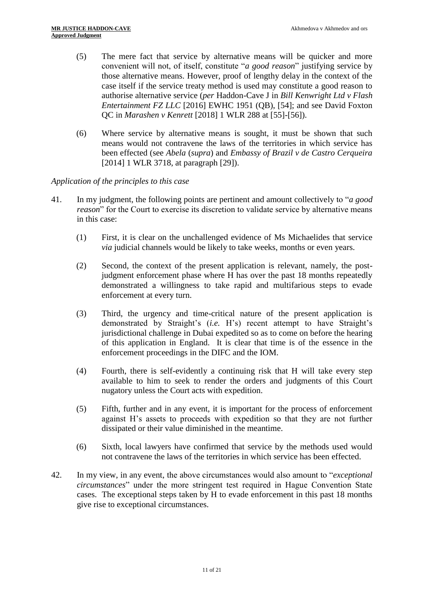- (5) The mere fact that service by alternative means will be quicker and more convenient will not, of itself, constitute "*a good reason*" justifying service by those alternative means. However, proof of lengthy delay in the context of the case itself if the service treaty method is used may constitute a good reason to authorise alternative service (*per* Haddon-Cave J in *Bill Kenwright Ltd v Flash Entertainment FZ LLC* [2016] EWHC 1951 (QB), [54]; and see David Foxton QC in *Marashen v Kenrett* [2018] 1 WLR 288 at [55]-[56]).
- (6) Where service by alternative means is sought, it must be shown that such means would not contravene the laws of the territories in which service has been effected (see *Abela* (*supra*) and *Embassy of Brazil v de Castro Cerqueira* [2014] 1 WLR 3718, at paragraph [29]).

## *Application of the principles to this case*

- 41. In my judgment, the following points are pertinent and amount collectively to "*a good reason*" for the Court to exercise its discretion to validate service by alternative means in this case:
	- (1) First, it is clear on the unchallenged evidence of Ms Michaelides that service *via* judicial channels would be likely to take weeks, months or even years.
	- (2) Second, the context of the present application is relevant, namely, the postjudgment enforcement phase where H has over the past 18 months repeatedly demonstrated a willingness to take rapid and multifarious steps to evade enforcement at every turn.
	- (3) Third, the urgency and time-critical nature of the present application is demonstrated by Straight's (*i.e.* H's) recent attempt to have Straight's jurisdictional challenge in Dubai expedited so as to come on before the hearing of this application in England. It is clear that time is of the essence in the enforcement proceedings in the DIFC and the IOM.
	- (4) Fourth, there is self-evidently a continuing risk that H will take every step available to him to seek to render the orders and judgments of this Court nugatory unless the Court acts with expedition.
	- (5) Fifth, further and in any event, it is important for the process of enforcement against H's assets to proceeds with expedition so that they are not further dissipated or their value diminished in the meantime.
	- (6) Sixth, local lawyers have confirmed that service by the methods used would not contravene the laws of the territories in which service has been effected.
- 42. In my view, in any event, the above circumstances would also amount to "*exceptional circumstances*" under the more stringent test required in Hague Convention State cases. The exceptional steps taken by H to evade enforcement in this past 18 months give rise to exceptional circumstances.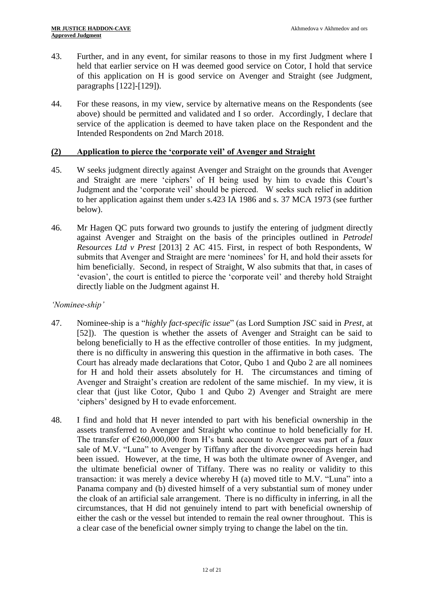- 43. Further, and in any event, for similar reasons to those in my first Judgment where I held that earlier service on H was deemed good service on Cotor, I hold that service of this application on H is good service on Avenger and Straight (see Judgment, paragraphs [122]-[129]).
- 44. For these reasons, in my view, service by alternative means on the Respondents (see above) should be permitted and validated and I so order. Accordingly, I declare that service of the application is deemed to have taken place on the Respondent and the Intended Respondents on 2nd March 2018.

## **(2) Application to pierce the 'corporate veil' of Avenger and Straight**

- 45. W seeks judgment directly against Avenger and Straight on the grounds that Avenger and Straight are mere 'ciphers' of H being used by him to evade this Court's Judgment and the 'corporate veil' should be pierced. W seeks such relief in addition to her application against them under s.423 IA 1986 and s. 37 MCA 1973 (see further below).
- 46. Mr Hagen QC puts forward two grounds to justify the entering of judgment directly against Avenger and Straight on the basis of the principles outlined in *Petrodel Resources Ltd v Prest* [2013] 2 AC 415. First, in respect of both Respondents, W submits that Avenger and Straight are mere 'nominees' for H, and hold their assets for him beneficially. Second, in respect of Straight, W also submits that that, in cases of 'evasion', the court is entitled to pierce the 'corporate veil' and thereby hold Straight directly liable on the Judgment against H.

## *'Nominee-ship'*

- 47. Nominee-ship is a "*highly fact-specific issue*" (as Lord Sumption JSC said in *Prest*, at [52]). The question is whether the assets of Avenger and Straight can be said to belong beneficially to H as the effective controller of those entities. In my judgment, there is no difficulty in answering this question in the affirmative in both cases. The Court has already made declarations that Cotor, Qubo 1 and Qubo 2 are all nominees for H and hold their assets absolutely for H. The circumstances and timing of Avenger and Straight's creation are redolent of the same mischief. In my view, it is clear that (just like Cotor, Qubo 1 and Qubo 2) Avenger and Straight are mere 'ciphers' designed by H to evade enforcement.
- 48. I find and hold that H never intended to part with his beneficial ownership in the assets transferred to Avenger and Straight who continue to hold beneficially for H. The transfer of  $\epsilon$ 260,000,000 from H's bank account to Avenger was part of a *faux* sale of M.V. "Luna" to Avenger by Tiffany after the divorce proceedings herein had been issued. However, at the time, H was both the ultimate owner of Avenger, and the ultimate beneficial owner of Tiffany. There was no reality or validity to this transaction: it was merely a device whereby H (a) moved title to M.V. "Luna" into a Panama company and (b) divested himself of a very substantial sum of money under the cloak of an artificial sale arrangement. There is no difficulty in inferring, in all the circumstances, that H did not genuinely intend to part with beneficial ownership of either the cash or the vessel but intended to remain the real owner throughout. This is a clear case of the beneficial owner simply trying to change the label on the tin.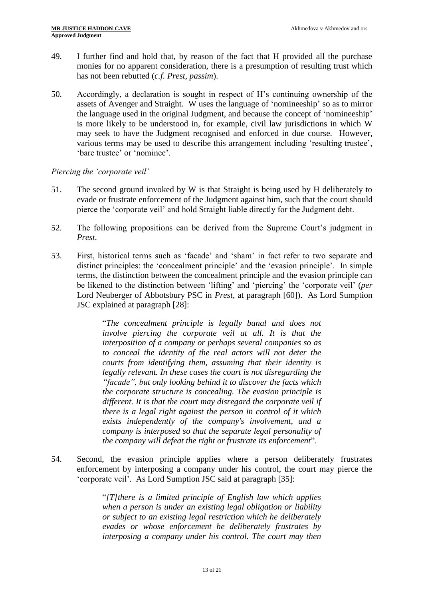- 49. I further find and hold that, by reason of the fact that H provided all the purchase monies for no apparent consideration, there is a presumption of resulting trust which has not been rebutted (*c.f. Prest*, *passim*).
- 50. Accordingly, a declaration is sought in respect of H's continuing ownership of the assets of Avenger and Straight. W uses the language of 'nomineeship' so as to mirror the language used in the original Judgment, and because the concept of 'nomineeship' is more likely to be understood in, for example, civil law jurisdictions in which W may seek to have the Judgment recognised and enforced in due course. However, various terms may be used to describe this arrangement including 'resulting trustee', 'bare trustee' or 'nominee'.

## *Piercing the 'corporate veil'*

- 51. The second ground invoked by W is that Straight is being used by H deliberately to evade or frustrate enforcement of the Judgment against him, such that the court should pierce the 'corporate veil' and hold Straight liable directly for the Judgment debt.
- 52. The following propositions can be derived from the Supreme Court's judgment in *Prest*.
- 53. First, historical terms such as 'facade' and 'sham' in fact refer to two separate and distinct principles: the 'concealment principle' and the 'evasion principle'. In simple terms, the distinction between the concealment principle and the evasion principle can be likened to the distinction between 'lifting' and 'piercing' the 'corporate veil' (*per* Lord Neuberger of Abbotsbury PSC in *Prest*, at paragraph [60]). As Lord Sumption JSC explained at paragraph [28]:

"*The concealment principle is legally banal and does not involve piercing the corporate veil at all. It is that the interposition of a company or perhaps several companies so as to conceal the identity of the real actors will not deter the courts from identifying them, assuming that their identity is legally relevant. In these cases the court is not disregarding the "facade", but only looking behind it to discover the facts which the corporate structure is concealing. The evasion principle is different. It is that the court may disregard the corporate veil if there is a legal right against the person in control of it which exists independently of the company's involvement, and a company is interposed so that the separate legal personality of the company will defeat the right or frustrate its enforcement*".

54. Second, the evasion principle applies where a person deliberately frustrates enforcement by interposing a company under his control, the court may pierce the 'corporate veil'. As Lord Sumption JSC said at paragraph [35]:

> "*[T]there is a limited principle of English law which applies when a person is under an existing legal obligation or liability or subject to an existing legal restriction which he deliberately evades or whose enforcement he deliberately frustrates by interposing a company under his control. The court may then*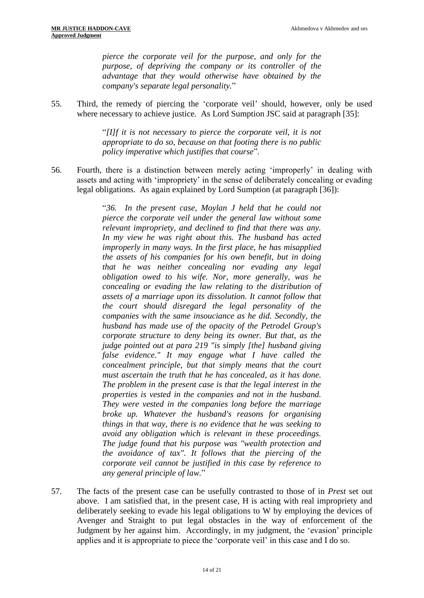*pierce the corporate veil for the purpose, and only for the purpose, of depriving the company or its controller of the advantage that they would otherwise have obtained by the company's separate legal personality.*"

55. Third, the remedy of piercing the 'corporate veil' should, however, only be used where necessary to achieve justice. As Lord Sumption JSC said at paragraph [35]:

> "*[I]f it is not necessary to pierce the corporate veil, it is not appropriate to do so, because on that footing there is no public policy imperative which justifies that course*".

56. Fourth, there is a distinction between merely acting 'improperly' in dealing with assets and acting with 'impropriety' in the sense of deliberately concealing or evading legal obligations. As again explained by Lord Sumption (at paragraph [36]):

> "*36. In the present case, Moylan J held that he could not pierce the corporate veil under the general law without some relevant impropriety, and declined to find that there was any. In my view he was right about this. The husband has acted improperly in many ways. In the first place, he has misapplied the assets of his companies for his own benefit, but in doing that he was neither concealing nor evading any legal obligation owed to his wife. Nor, more generally, was he concealing or evading the law relating to the distribution of assets of a marriage upon its dissolution. It cannot follow that the court should disregard the legal personality of the companies with the same insouciance as he did. Secondly, the husband has made use of the opacity of the Petrodel Group's corporate structure to deny being its owner. But that, as the judge pointed out at para 219 "is simply [the] husband giving false evidence." It may engage what I have called the concealment principle, but that simply means that the court must ascertain the truth that he has concealed, as it has done. The problem in the present case is that the legal interest in the properties is vested in the companies and not in the husband. They were vested in the companies long before the marriage broke up. Whatever the husband's reasons for organising things in that way, there is no evidence that he was seeking to avoid any obligation which is relevant in these proceedings. The judge found that his purpose was "wealth protection and the avoidance of tax". It follows that the piercing of the corporate veil cannot be justified in this case by reference to any general principle of law.*"

57. The facts of the present case can be usefully contrasted to those of in *Prest* set out above. I am satisfied that, in the present case, H is acting with real impropriety and deliberately seeking to evade his legal obligations to W by employing the devices of Avenger and Straight to put legal obstacles in the way of enforcement of the Judgment by her against him. Accordingly, in my judgment, the 'evasion' principle applies and it is appropriate to piece the 'corporate veil' in this case and I do so.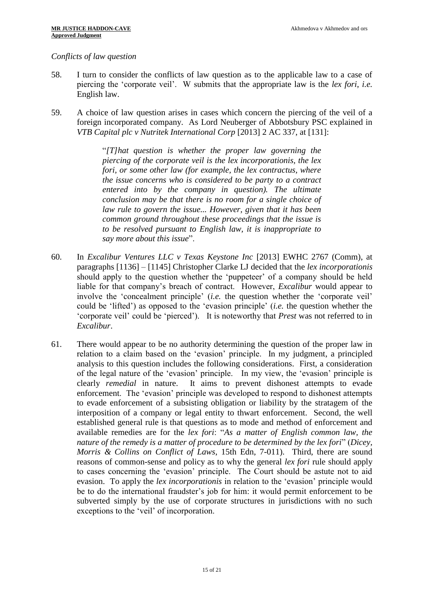## *Conflicts of law question*

- 58. I turn to consider the conflicts of law question as to the applicable law to a case of piercing the 'corporate veil'. W submits that the appropriate law is the *lex fori*, *i.e.* English law.
- 59. A choice of law question arises in cases which concern the piercing of the veil of a foreign incorporated company. As Lord Neuberger of Abbotsbury PSC explained in *VTB Capital plc v Nutritek International Corp* [2013] 2 AC 337, at [131]:

"*[T]hat question is whether the proper law governing the piercing of the corporate veil is the lex incorporationis, the lex fori, or some other law (for example, the lex contractus, where the issue concerns who is considered to be party to a contract entered into by the company in question). The ultimate conclusion may be that there is no room for a single choice of law rule to govern the issue... However, given that it has been common ground throughout these proceedings that the issue is to be resolved pursuant to English law, it is inappropriate to say more about this issue*".

- 60. In *Excalibur Ventures LLC v Texas Keystone Inc* [2013] EWHC 2767 (Comm), at paragraphs [1136] – [1145] Christopher Clarke LJ decided that the *lex incorporationis* should apply to the question whether the 'puppeteer' of a company should be held liable for that company's breach of contract. However, *Excalibur* would appear to involve the 'concealment principle' (*i.e.* the question whether the 'corporate veil' could be 'lifted') as opposed to the 'evasion principle' (*i.e.* the question whether the 'corporate veil' could be 'pierced'). It is noteworthy that *Prest* was not referred to in *Excalibur*.
- 61. There would appear to be no authority determining the question of the proper law in relation to a claim based on the 'evasion' principle. In my judgment, a principled analysis to this question includes the following considerations. First, a consideration of the legal nature of the 'evasion' principle. In my view, the 'evasion' principle is clearly *remedial* in nature. It aims to prevent dishonest attempts to evade enforcement. The 'evasion' principle was developed to respond to dishonest attempts to evade enforcement of a subsisting obligation or liability by the stratagem of the interposition of a company or legal entity to thwart enforcement. Second, the well established general rule is that questions as to mode and method of enforcement and available remedies are for the *lex fori*: "*As a matter of English common law, the nature of the remedy is a matter of procedure to be determined by the lex fori*" (*Dicey, Morris & Collins on Conflict of Laws*, 15th Edn, 7-011). Third, there are sound reasons of common-sense and policy as to why the general *lex fori* rule should apply to cases concerning the 'evasion' principle. The Court should be astute not to aid evasion. To apply the *lex incorporationis* in relation to the 'evasion' principle would be to do the international fraudster's job for him: it would permit enforcement to be subverted simply by the use of corporate structures in jurisdictions with no such exceptions to the 'veil' of incorporation.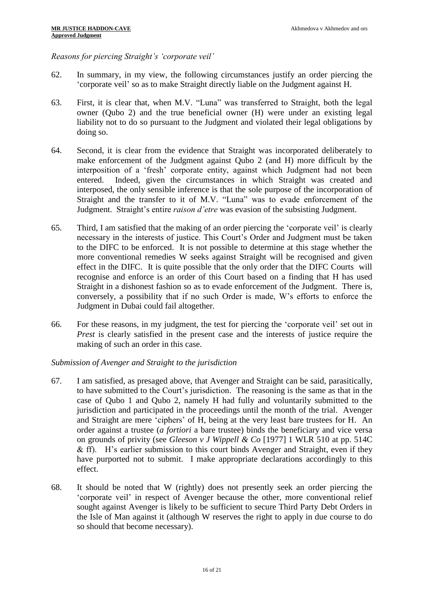*Reasons for piercing Straight's 'corporate veil'*

- 62. In summary, in my view, the following circumstances justify an order piercing the 'corporate veil' so as to make Straight directly liable on the Judgment against H.
- 63. First, it is clear that, when M.V. "Luna" was transferred to Straight, both the legal owner (Qubo 2) and the true beneficial owner (H) were under an existing legal liability not to do so pursuant to the Judgment and violated their legal obligations by doing so.
- 64. Second, it is clear from the evidence that Straight was incorporated deliberately to make enforcement of the Judgment against Qubo 2 (and H) more difficult by the interposition of a 'fresh' corporate entity, against which Judgment had not been entered. Indeed, given the circumstances in which Straight was created and interposed, the only sensible inference is that the sole purpose of the incorporation of Straight and the transfer to it of M.V. "Luna" was to evade enforcement of the Judgment. Straight's entire *raison d'etre* was evasion of the subsisting Judgment.
- 65. Third, I am satisfied that the making of an order piercing the 'corporate veil' is clearly necessary in the interests of justice. This Court's Order and Judgment must be taken to the DIFC to be enforced. It is not possible to determine at this stage whether the more conventional remedies W seeks against Straight will be recognised and given effect in the DIFC. It is quite possible that the only order that the DIFC Courts will recognise and enforce is an order of this Court based on a finding that H has used Straight in a dishonest fashion so as to evade enforcement of the Judgment. There is, conversely, a possibility that if no such Order is made, W's efforts to enforce the Judgment in Dubai could fail altogether.
- 66. For these reasons, in my judgment, the test for piercing the 'corporate veil' set out in *Prest* is clearly satisfied in the present case and the interests of justice require the making of such an order in this case.

## *Submission of Avenger and Straight to the jurisdiction*

- 67. I am satisfied, as presaged above, that Avenger and Straight can be said, parasitically, to have submitted to the Court's jurisdiction. The reasoning is the same as that in the case of Qubo 1 and Qubo 2, namely H had fully and voluntarily submitted to the jurisdiction and participated in the proceedings until the month of the trial. Avenger and Straight are mere 'ciphers' of H, being at the very least bare trustees for H. An order against a trustee (*a fortiori* a bare trustee) binds the beneficiary and vice versa on grounds of privity (see *Gleeson v J Wippell & Co* [1977] 1 WLR 510 at pp. 514C & ff). H's earlier submission to this court binds Avenger and Straight, even if they have purported not to submit. I make appropriate declarations accordingly to this effect.
- 68. It should be noted that W (rightly) does not presently seek an order piercing the 'corporate veil' in respect of Avenger because the other, more conventional relief sought against Avenger is likely to be sufficient to secure Third Party Debt Orders in the Isle of Man against it (although W reserves the right to apply in due course to do so should that become necessary).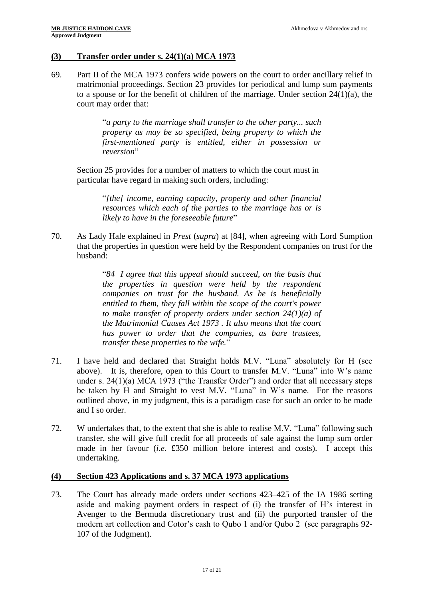## **(3) Transfer order under s. 24(1)(a) MCA 1973**

69. Part II of the MCA 1973 confers wide powers on the court to order ancillary relief in matrimonial proceedings. Section 23 provides for periodical and lump sum payments to a spouse or for the benefit of children of the marriage. Under section  $24(1)(a)$ , the court may order that:

> "*a party to the marriage shall transfer to the other party... such property as may be so specified, being property to which the first-mentioned party is entitled, either in possession or reversion*"

Section 25 provides for a number of matters to which the court must in particular have regard in making such orders, including:

> "*[the] income, earning capacity, property and other financial resources which each of the parties to the marriage has or is likely to have in the foreseeable future*"

70. As Lady Hale explained in *Prest* (*supra*) at [84], when agreeing with Lord Sumption that the properties in question were held by the Respondent companies on trust for the husband:

> "*84 I agree that this appeal should succeed, on the basis that the properties in question were held by the respondent companies on trust for the husband. As he is beneficially entitled to them, they fall within the scope of the court's power to make transfer of property orders under section 24(1)(a) of the Matrimonial Causes Act 1973 . It also means that the court has power to order that the companies, as bare trustees, transfer these properties to the wife.*"

- 71. I have held and declared that Straight holds M.V. "Luna" absolutely for H (see above). It is, therefore, open to this Court to transfer M.V. "Luna" into W's name under s. 24(1)(a) MCA 1973 ("the Transfer Order") and order that all necessary steps be taken by H and Straight to vest M.V. "Luna" in W's name. For the reasons outlined above, in my judgment, this is a paradigm case for such an order to be made and I so order.
- 72. W undertakes that, to the extent that she is able to realise M.V. "Luna" following such transfer, she will give full credit for all proceeds of sale against the lump sum order made in her favour (*i.e.* £350 million before interest and costs). I accept this undertaking.

## **(4) Section 423 Applications and s. 37 MCA 1973 applications**

73. The Court has already made orders under sections 423–425 of the IA 1986 setting aside and making payment orders in respect of (i) the transfer of H's interest in Avenger to the Bermuda discretionary trust and (ii) the purported transfer of the modern art collection and Cotor's cash to Qubo 1 and/or Qubo 2 (see paragraphs 92- 107 of the Judgment).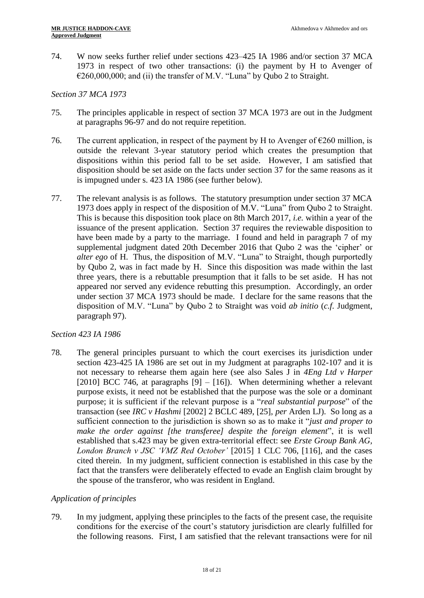74. W now seeks further relief under sections 423–425 IA 1986 and/or section 37 MCA 1973 in respect of two other transactions: (i) the payment by H to Avenger of  $\epsilon$ 260,000,000; and (ii) the transfer of M.V. "Luna" by Qubo 2 to Straight.

## *Section 37 MCA 1973*

- 75. The principles applicable in respect of section 37 MCA 1973 are out in the Judgment at paragraphs 96-97 and do not require repetition.
- 76. The current application, in respect of the payment by H to Avenger of  $\epsilon$ 260 million, is outside the relevant 3-year statutory period which creates the presumption that dispositions within this period fall to be set aside. However, I am satisfied that disposition should be set aside on the facts under section 37 for the same reasons as it is impugned under s. 423 IA 1986 (see further below).
- 77. The relevant analysis is as follows. The statutory presumption under section 37 MCA 1973 does apply in respect of the disposition of M.V. "Luna" from Qubo 2 to Straight. This is because this disposition took place on 8th March 2017, *i.e.* within a year of the issuance of the present application. Section 37 requires the reviewable disposition to have been made by a party to the marriage. I found and held in paragraph 7 of my supplemental judgment dated 20th December 2016 that Qubo 2 was the 'cipher' or *alter ego* of H. Thus, the disposition of M.V. "Luna" to Straight, though purportedly by Qubo 2, was in fact made by H. Since this disposition was made within the last three years, there is a rebuttable presumption that it falls to be set aside. H has not appeared nor served any evidence rebutting this presumption. Accordingly, an order under section 37 MCA 1973 should be made. I declare for the same reasons that the disposition of M.V. "Luna" by Qubo 2 to Straight was void *ab initio* (*c.f.* Judgment, paragraph 97).

## *Section 423 IA 1986*

78. The general principles pursuant to which the court exercises its jurisdiction under section 423-425 IA 1986 are set out in my Judgment at paragraphs 102-107 and it is not necessary to rehearse them again here (see also Sales J in *4Eng Ltd v Harper* [2010] BCC 746, at paragraphs  $[9] - [16]$ ). When determining whether a relevant purpose exists, it need not be established that the purpose was the sole or a dominant purpose; it is sufficient if the relevant purpose is a "*real substantial purpose*" of the transaction (see *IRC v Hashmi* [2002] 2 BCLC 489, [25], *per* Arden LJ). So long as a sufficient connection to the jurisdiction is shown so as to make it "*just and proper to make the order against [the transferee] despite the foreign element*", it is well established that s.423 may be given extra-territorial effect: see *Erste Group Bank AG, London Branch v JSC 'VMZ Red October'* [2015] 1 CLC 706, [116], and the cases cited therein. In my judgment, sufficient connection is established in this case by the fact that the transfers were deliberately effected to evade an English claim brought by the spouse of the transferor, who was resident in England.

## *Application of principles*

79. In my judgment, applying these principles to the facts of the present case, the requisite conditions for the exercise of the court's statutory jurisdiction are clearly fulfilled for the following reasons. First, I am satisfied that the relevant transactions were for nil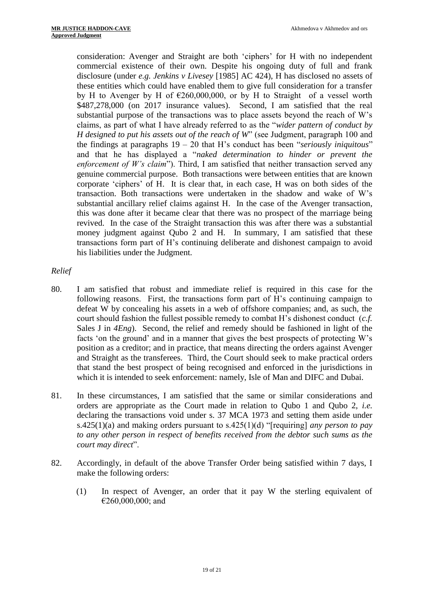consideration: Avenger and Straight are both 'ciphers' for H with no independent commercial existence of their own. Despite his ongoing duty of full and frank disclosure (under *e.g. Jenkins v Livesey* [1985] AC 424), H has disclosed no assets of these entities which could have enabled them to give full consideration for a transfer by H to Avenger by H of  $\epsilon$ 260,000,000, or by H to Straight of a vessel worth \$487,278,000 (on 2017 insurance values). Second, I am satisfied that the real substantial purpose of the transactions was to place assets beyond the reach of W's claims, as part of what I have already referred to as the "*wider pattern of conduct by H designed to put his assets out of the reach of W*" (see Judgment, paragraph 100 and the findings at paragraphs 19 – 20 that H's conduct has been "*seriously iniquitous*" and that he has displayed a "*naked determination to hinder or prevent the enforcement of W's claim*"). Third, I am satisfied that neither transaction served any genuine commercial purpose. Both transactions were between entities that are known corporate 'ciphers' of H. It is clear that, in each case, H was on both sides of the transaction. Both transactions were undertaken in the shadow and wake of W's substantial ancillary relief claims against H. In the case of the Avenger transaction, this was done after it became clear that there was no prospect of the marriage being revived. In the case of the Straight transaction this was after there was a substantial money judgment against Qubo 2 and H. In summary, I am satisfied that these transactions form part of H's continuing deliberate and dishonest campaign to avoid his liabilities under the Judgment.

#### *Relief*

- 80. I am satisfied that robust and immediate relief is required in this case for the following reasons. First, the transactions form part of H's continuing campaign to defeat W by concealing his assets in a web of offshore companies; and, as such, the court should fashion the fullest possible remedy to combat H's dishonest conduct (*c.f.* Sales J in *4Eng*). Second, the relief and remedy should be fashioned in light of the facts 'on the ground' and in a manner that gives the best prospects of protecting W's position as a creditor; and in practice, that means directing the orders against Avenger and Straight as the transferees. Third, the Court should seek to make practical orders that stand the best prospect of being recognised and enforced in the jurisdictions in which it is intended to seek enforcement: namely, Isle of Man and DIFC and Dubai.
- 81. In these circumstances, I am satisfied that the same or similar considerations and orders are appropriate as the Court made in relation to Qubo 1 and Qubo 2, *i.e.* declaring the transactions void under s. 37 MCA 1973 and setting them aside under s.425(1)(a) and making orders pursuant to s.425(1)(d) "[requiring] *any person to pay to any other person in respect of benefits received from the debtor such sums as the court may direct*".
- 82. Accordingly, in default of the above Transfer Order being satisfied within 7 days, I make the following orders:
	- (1) In respect of Avenger, an order that it pay W the sterling equivalent of €260,000,000; and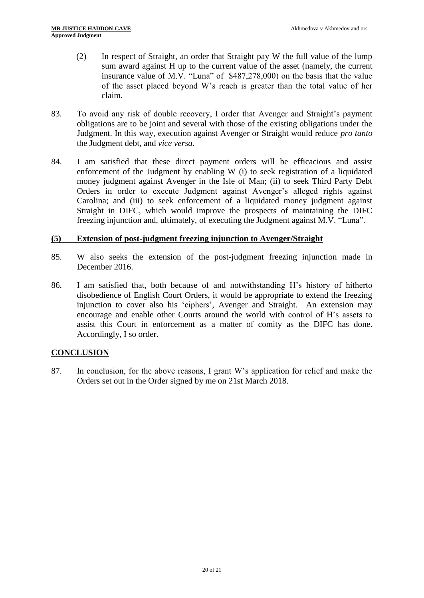- (2) In respect of Straight, an order that Straight pay W the full value of the lump sum award against H up to the current value of the asset (namely, the current insurance value of M.V. "Luna" of \$487,278,000) on the basis that the value of the asset placed beyond W's reach is greater than the total value of her claim.
- 83. To avoid any risk of double recovery, I order that Avenger and Straight's payment obligations are to be joint and several with those of the existing obligations under the Judgment. In this way, execution against Avenger or Straight would reduce *pro tanto* the Judgment debt, and *vice versa*.
- 84. I am satisfied that these direct payment orders will be efficacious and assist enforcement of the Judgment by enabling W (i) to seek registration of a liquidated money judgment against Avenger in the Isle of Man; (ii) to seek Third Party Debt Orders in order to execute Judgment against Avenger's alleged rights against Carolina; and (iii) to seek enforcement of a liquidated money judgment against Straight in DIFC, which would improve the prospects of maintaining the DIFC freezing injunction and, ultimately, of executing the Judgment against M.V. "Luna".

## **(5) Extension of post-judgment freezing injunction to Avenger/Straight**

- 85. W also seeks the extension of the post-judgment freezing injunction made in December 2016.
- 86. I am satisfied that, both because of and notwithstanding H's history of hitherto disobedience of English Court Orders, it would be appropriate to extend the freezing injunction to cover also his 'ciphers', Avenger and Straight. An extension may encourage and enable other Courts around the world with control of H's assets to assist this Court in enforcement as a matter of comity as the DIFC has done. Accordingly, I so order.

## **CONCLUSION**

87. In conclusion, for the above reasons, I grant W's application for relief and make the Orders set out in the Order signed by me on 21st March 2018.